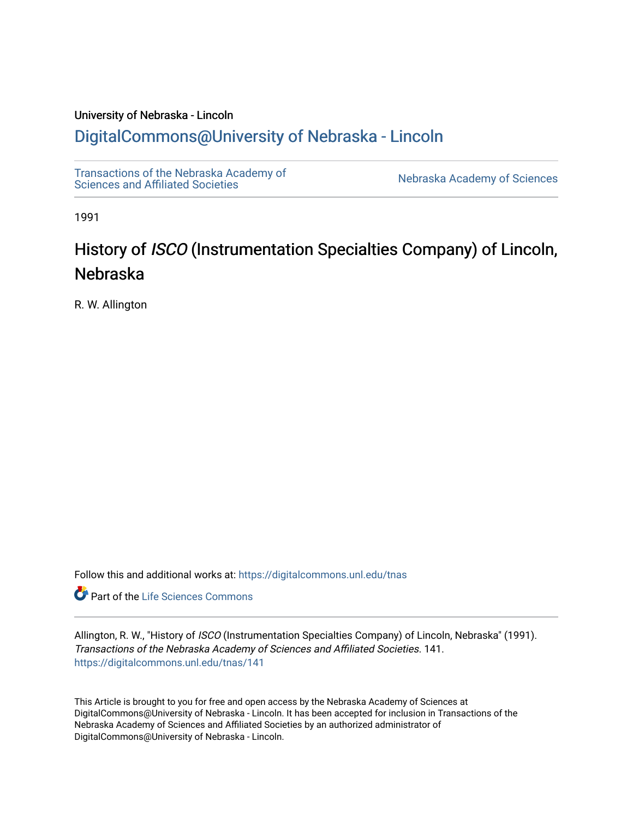## University of Nebraska - Lincoln [DigitalCommons@University of Nebraska - Lincoln](https://digitalcommons.unl.edu/)

[Transactions of the Nebraska Academy of](https://digitalcommons.unl.edu/tnas)  Transactions of the Nebraska Academy of Sciences<br>Sciences and Affiliated Societies

1991

# History of ISCO (Instrumentation Specialties Company) of Lincoln, Nebraska

R. W. Allington

Follow this and additional works at: [https://digitalcommons.unl.edu/tnas](https://digitalcommons.unl.edu/tnas?utm_source=digitalcommons.unl.edu%2Ftnas%2F141&utm_medium=PDF&utm_campaign=PDFCoverPages) 

Part of the [Life Sciences Commons](http://network.bepress.com/hgg/discipline/1016?utm_source=digitalcommons.unl.edu%2Ftnas%2F141&utm_medium=PDF&utm_campaign=PDFCoverPages) 

Allington, R. W., "History of ISCO (Instrumentation Specialties Company) of Lincoln, Nebraska" (1991). Transactions of the Nebraska Academy of Sciences and Affiliated Societies. 141. [https://digitalcommons.unl.edu/tnas/141](https://digitalcommons.unl.edu/tnas/141?utm_source=digitalcommons.unl.edu%2Ftnas%2F141&utm_medium=PDF&utm_campaign=PDFCoverPages) 

This Article is brought to you for free and open access by the Nebraska Academy of Sciences at DigitalCommons@University of Nebraska - Lincoln. It has been accepted for inclusion in Transactions of the Nebraska Academy of Sciences and Affiliated Societies by an authorized administrator of DigitalCommons@University of Nebraska - Lincoln.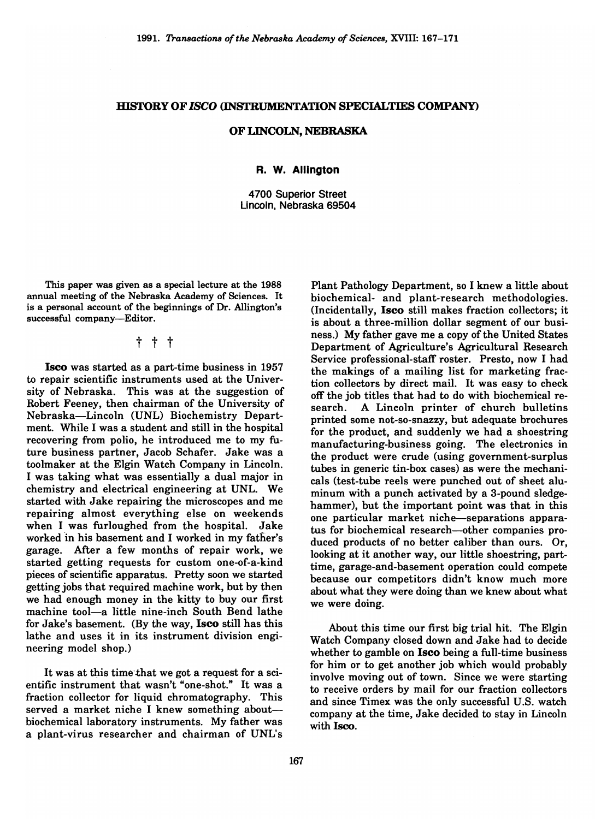#### HISTORY OF ISCO (INSTRUMENTATION SPECIALTIES COMPANY)

#### OF LINCOLN, NEBRASKA

#### R. W. **Allington**

4700 Superior Street Lincoln, Nebraska 69504

This paper was given as a special lecture at the 1988 annual meeting of the Nebraska Academy of Sciences. It is a personal account of the beginnings of Dr. Allington's successful company-Editor.

### t t t

Isco was started as a part-time business in 1957 to repair scientific instruments used at the University of Nebraska. This was at the suggestion of Robert Feeney, then chairman of the University of Nebraska-Lincoln (UNL) Biochemistry Department. While I was a student and still in the hospital recovering from polio, he introduced me to my future business partner, Jacob Schafer. Jake was a toolmaker at the Elgin Watch Company in Lincoln. I was taking what was essentially a dual major in chemistry and electrical engineering at UNL. We started with Jake repairing the microscopes and me repairing almost everything else on weekends when I was furloughed from the hospital. Jake worked in his basement and I worked in my father's garage. After a few months of repair work, we started getting requests for custom one-of-a-kind pieces of scientific apparatus. Pretty soon we started getting jobs that required machine work, but by then we had enough money in the kitty to buy our first machine tool-a little nine-inch South Bend lathe for Jake's basement. (By the way, Isco still has this lathe and uses it in its instrument division engineering model shop.)

It was at this time that we got a request for a scientific instrument that wasn't "one-shot." It was a fraction collector for liquid chromatography. This served a market niche I knew something aboutbiochemical laboratory instruments. My father was a plant-virus researcher and chairman of UNL's

Plant Pathology Department, so I knew a little about biochemical- and plant-research methodologies. (Incidentally, Isco still makes fraction collectors; it is about a three-million dollar segment of our business.) My father gave me a copy of the United States Department of Agriculture's Agricultural Research Service professional-staff roster. Presto, now I had the makings of a mailing list for marketing fraction collectors by direct mail. It was easy to check off the job titles that had to do with biochemical research. A Lincoln printer of church bulletins printed some not-so-snazzy, but adequate brochures for the product, and suddenly we had a shoestring manufacturing-business going. The electronics in the product were crude (using government-surplus tubes in generic tin-box cases) as were the mechanicals (test-tube reels were punched out of sheet aluminum with a punch activated by a 3-pound sledgehammer), but the important point was that in this one particular market niche-separations apparatus for biochemical research-other companies produced products of no better caliber than ours. Or, looking at it another way, our little shoestring, parttime, garage-and-basement operation could compete because our competitors didn't know much more about what they were doing than we knew about what we were doing.

About this time our first big trial hit. The Elgin Watch Company closed down and Jake had to decide whether to gamble on **Isco** being a full-time business for him or to get another job which would probably involve moving out of town. Since we were starting to receive orders by mail for our fraction collectors and since Timex was the only successful U.S. watch company at the time, Jake decided to stay in Lincoln with Isco.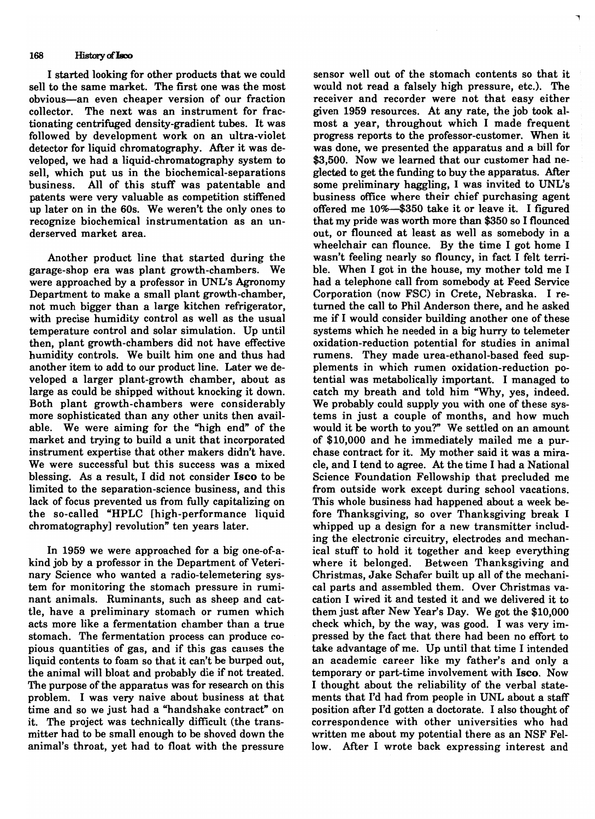#### 168 History of **Isco**

I started looking for other products that we could sell to the same market. The first one was the most obvious-an even cheaper version of our fraction collector. The next was an instrument for fractionating centrifuged density-gradient tubes. It was followed by development work on an ultra-violet detector for liquid chromatography. After it was developed, we had a liquid-chromatography system to sell, which put us in the biochemical-separations business. All of this stuff was patentable and patents were very valuable as competition stiffened up later on in the 60s. We weren't the only ones to recognize biochemical instrumentation as an underserved market area.

Another product line that started during the garage-shop era was plant growth-chambers. We were approached by a professor in UNL's Agronomy Department to make a small plant growth-chamber, not much bigger than a large kitchen refrigerator, with precise humidity control as well as the usual temperature control and solar simulation. Up until then, plant growth-chambers did not have effective humidity controls. We built him one and thus had another item to add to our product line. Later we developed a larger plant-growth chamber, about as large as could be shipped without knocking it down. Both plant growth-chambers were considerably more sophisticated than any other units then available. We were aiming for the "high end" of the market and trying to build a unit that incorporated instrument expertise that other makers didn't have. We were successful but this success was a mixed blessing. As a result, I did not consider Iseo to be limited to the separation-science business, and this lack of focus prevented us from fully capitalizing on the so-called "HPLC [high-performance liquid chromatography] revolution" ten years later.

In 1959 we were approached for a big one-of-akind job by a professor in the Department of Veterinary Science who wanted a radio-telemetering system for monitoring the stomach pressure in ruminant animals. Ruminants, such as sheep and cattle, have a preliminary stomach or rumen which acts more like a fermentation chamber than a true stomach. The fermentation process can produce copious quantities of gas, and if this gas causes the liquid contents to foam so that it can't be burped out, the animal will bloat and probably die if not treated. The purpose of the apparatus was for research on this problem. I was very naive about business at that time and so we just had a "handshake contract" on it. The project was technically difficult (the transmitter had to be small enough to be shoved down the animal's throat, yet had to float with the pressure

sensor well out of the stomach contents so that it would not read a falsely high pressure, etc.). The receiver and recorder were not that easy either given 1959 resources. At any rate, the job took almost a year, throughout which I made frequent progress reports to the professor-customer. When it was done, we presented the apparatus and a bill for \$3,500. Now we learned that our customer had neglected to get the funding to buy the apparatus. After some preliminary haggling, I was invited to UNL's business office where their chief purchasing agent offered me 10%-\$350 take it or leave it. I figured that my pride was worth more than \$350 so I flounced out, or flounced at least as well as somebody in a wheelchair can flounce. By the time I got home I wasn't feeling nearly so flouncy, in fact I felt terrible. When I got in the house, my mother told me I had a telephone call from somebody at Feed Service Corporation (now FSC) in Crete, Nebraska. I returned the call to Phil Anderson there, and he asked me if I would consider building another one of these systems which he needed in a big hurry to telemeter oxidation-reduction potential for studies in animal rumens. They made urea-ethanol-based feed supplements in which rumen oxidation-reduction potential was metabolically important. I managed to catch my breath and told him "Why, yes, indeed. We probably could supply you with one of these systems in just a couple of months, and how much would it be worth to you?" We settled on an amount of \$10,000 and he immediately mailed me a purchase contract for it. My mother said it was a miracle, and I tend to agree. At the time I had a National Science Foundation Fellowship that precluded me from outside work except during school vacations. This whole business had happened about a week before Thanksgiving, so over Thanksgiving break I whipped up a design for a new transmitter including the electronic circuitry, electrodes and mechanical stuff to hold it together and keep everything where it belonged. Between Thanksgiving and Christmas, Jake Schafer built up all of the mechanical parts and assembled them. Over Christmas vacation I wired it and tested it and we delivered it to them just after New Year's Day. We got the \$10,000 check which, by the way, was good. I was very impressed by the fact that there had been no effort to take advantage of me. Up until that time I intended an academic career like my father's and only a temporary or part-time involvement with Iseo. Now I thought about the reliability of the verbal statements that I'd had from people in UNL about a staff position after I'd gotten a doctorate. I also thought of correspondence with other universities who had written me about my potential there as an NSF Fellow. After I wrote back expressing interest and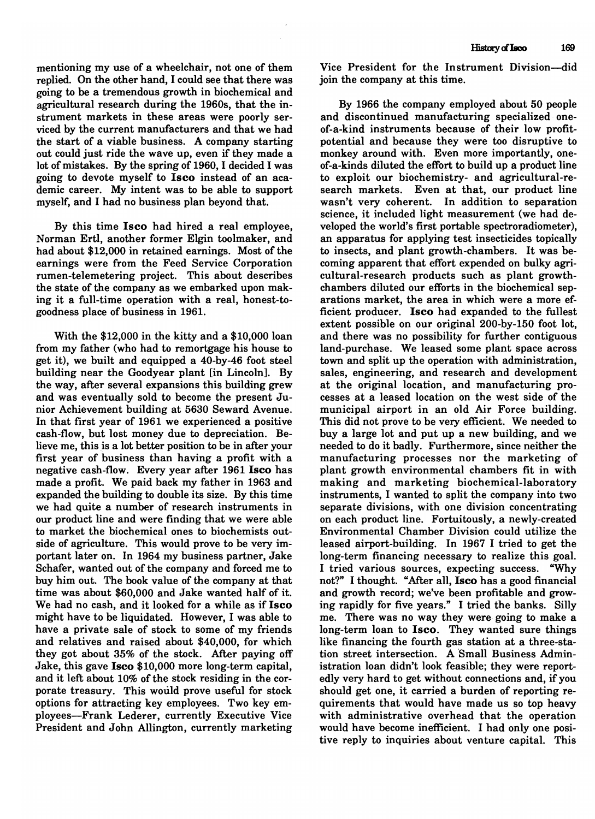mentioning my use of a wheelchair, not one of them replied. On the other hand, I could see that there was going to be a tremendous growth in biochemical and agricultural research during the 1960s, that the instrument markets in these areas were poorly serviced by the current manufacturers and that we had the start of a viable business. A company starting out could just ride the wave up, even if they made a lot of mistakes. By the spring of 1960, I decided I was going to devote myself to Isco instead of an academic career. My intent was to be able to support myself, and I had no business plan beyond that.

By this time Isco had hired a real employee, Norman Ertl, another former Elgin toolmaker, and had about \$12,000 in retained earnings. Most of the earnings were from the Feed Service Corporation rumen-telemetering project. This about describes the state of the company as we embarked upon making it a full-time operation with a real, honest-togoodness place of business in 1961.

With the \$12,000 in the kitty and a \$10,000 loan from my father (who had to remortgage his house to get it), we built and equipped a 40-by-46 foot steel building near the Goodyear plant [in Lincoln]. By the way, after several expansions this building grew and was eventually sold to become the present Junior Achievement building at 5630 Seward Avenue. In that first year of 1961 we experienced a positive cash-flow, but lost money due to depreciation. Believe me, this is a lot better position to be in after your first year of business than having a profit with a negative cash-flow. Every year after 1961 Isco has made a profit. We paid back my father in 1963 and expanded the building to double its size. By this time we had quite a number of research instruments in our product line and were finding that we were able to market the biochemical ones to biochemists outside of agriculture. This would prove to be very important later on. In 1964 my business partner, Jake Schafer, wanted out of the company and forced me to buy him out. The book value of the company at that time was about \$60,000 and Jake wanted half of it. We had no cash, and it looked for a while as if Isco might have to be liquidated. However, I was able to have a private sale of stock to some of my friends and relatives and raised about \$40,000, for which they got about 35% of the stock. After paying off Jake, this gave Isco \$10,000 more long-term capital, and it left about 10% of the stock residing in the corporate treasury. This would prove useful for stock options for attracting key employees. Two key employees-Frank Lederer, currently Executive Vice President and John Allington, currently marketing Vice President for the Instrument Division-did join the company at this time.

By 1966 the company employed about 50 people and discontinued manufacturing specialized oneof-a-kind instruments because of their low profitpotential and because they were too disruptive to monkey around with. Even more importantly, oneof-a-kinds diluted the effort to build up a product line to exploit our biochemistry- and agricultural-research markets. Even at that, our product line wasn't very coherent. In addition to separation science, it included light measurement (we had developed the world's first portable spectroradiometer), an apparatus for applying test insecticides topically to insects, and plant growth-chambers. It was becoming apparent that effort expended on bulky agricultural-research products such as plant growthchambers diluted our efforts in the biochemical separations market, the area in which were a more efficient producer. Isco had expanded to the fullest extent possible on our original 200-by-150 foot lot, and there was no possibility for further contiguous land-purchase. We leased some plant space across town and split up the operation with administration, sales, engineering, and research and development at the original location, and manufacturing processes at a leased location on the west side of the municipal airport in an old Air Force building. This did not prove to be very efficient. We needed to buy a large lot and put up a new building, and we needed to do it badly. Furthermore, since neither the manufacturing processes nor the marketing of plant growth environmental chambers fit in with making and marketing biochemical-laboratory instruments, I wanted to split the company into two separate divisions, with one division concentrating on each product line. Fortuitously, a newly-created Environmental Chamber Division could utilize the leased airport-building. In 1967 I tried to get the long-term financing necessary to realize this goal. I tried various sources, expecting success. "Why not?" I thought. "After all, Isco has a good financial and growth record; we've been profitable and growing rapidly for five years." I tried the banks. Silly me. There was no way they were going to make a long-term loan to Isco. They wanted sure things like financing the fourth gas station at a three-station street intersection. A Small Business Administration loan didn't look feasible; they were reportedly very hard to get without connections and, if you should get one, it carried a burden of reporting requirements that would have made us so top heavy with administrative overhead that the operation would have become inefficient. I had only one positive reply to inquiries about venture capital. This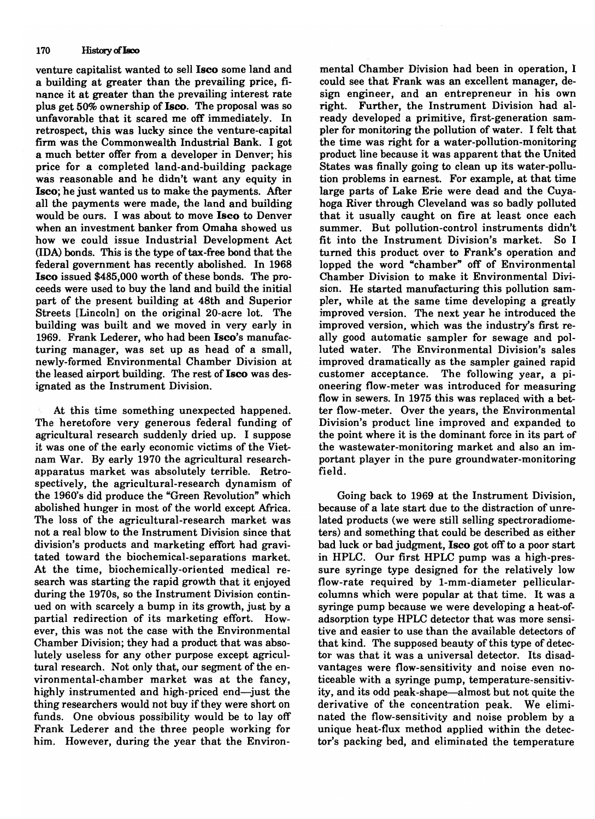#### 170 History of Isco

venture capitalist wanted to sell Iseo some land and a building at greater than the prevailing price, finance it at greater than the prevailing interest rate plus get 50% ownership of Isco. The proposal was so unfavorable that it scared me off immediately. In retrospect, this was lucky since the venture-capital firm was the Commonwealth Industrial Bank. I got a much better offer from a developer in Denver; his price for a completed land-and-building package was reasonable and he didn't want any equity in Iseo; he just wanted us to make the payments. After all the payments were made, the land and building would be ours. I was about to move Iseo to Denver when an investment banker from Omaha showed us how we could issue Industrial Development Act (IDA) bonds. This is the type of tax-free bond that the federal government has recently abolished. In 1968 Iseo issued \$485,000 worth of these bonds. The proceeds were used to buy the land and build the initial part of the present building at 48th and Superior Streets [Lincoln] on the original 20-acre lot. The building was built and we moved in very early in 1969. Frank Lederer, who had been Isco's manufacturing manager, was set up as head of a small, newly-formed Environmental Chamber Division at the leased airport building. The rest of Isco was designated as the Instrument Division.

At this time something unexpected happened. The heretofore very generous federal funding of agricultural research suddenly dried up. I suppose it was one of the early economic victims of the Vietnam War. By early 1970 the agricultural researchapparatus market was absolutely terrible. Retrospectively, the agricultural-research dynamism of the 1960's did produce the "Green Revolution" which abolished hunger in most of the world except Mrica. The loss of the agricultural-research market was not a real blow to the Instrument Division since that division's products and marketing effort had gravitated toward the biochemical-separations market. At the time, biochemically-oriented medical research was starting the rapid growth that it enjoyed during the 1970s, so the Instrument Division continued on with scarcely a bump in its growth, just by a partial redirection of its marketing effort. However, this was not the case with the Environmental Chamber Division; they had a product that was absolutely useless for any other purpose except agricultural research. Not only that, our segment of the environmental-chamber market was at the fancy, highly instrumented and high-priced end-just the thing researchers would not buy if they were short on funds. One obvious possibility would be to lay off Frank Lederer and the three people working for him. However, during the year that the Environ-

mental Chamber Division had been in operation, I could see that Frank was an excellent manager, design engineer, and an entrepreneur in his own right. Further, the Instrument Division had already developed a primitive, first-generation sampler for monitoring the pollution of water. I felt that the time was right for a water-pollution-monitoring product line because it was apparent that the United States was finally going to clean up its water-pollution problems in earnest. For example, at that time large parts of Lake Erie were dead and the Cuyahoga River through Cleveland was so badly polluted that it usually caught on fire at least once each summer. But pollution-control instruments didn't fit into the Instrument Division's market. So I turned this product over to Frank's operation and lopped the word "chamber" off of Environmental Chamber Division to make it Environmental Division. He started manufacturing this pollution sampler, while at the same time developing a greatly improved version. The next year he introduced the improved version, which was the industry's first really good automatic sampler for sewage and polluted water. The Environmental Division's sales improved dramatically as the sampler gained rapid customer acceptance. The following year, a pioneering flow-meter was introduced for measuring flow in sewers. In 1975 this was replaced with a better flow-meter. Over the years, the Environmental Division's product line improved and expanded to the point where it is the dominant force in its part of the wastewater-monitoring market and also an important player in the pure groundwater-monitoring field.

Going back to 1969 at the Instrument Division, because of a late start due to the distraction of unrelated products (we were still selling spectroradiometers) and something that could be described as either bad luck or bad judgment, Iseo got off to a poor start in HPLC. Our first HPLC pump was a high-pressure syringe type designed for the relatively low flow-rate required by I-mm-diameter pellicularcolumns which were popular at that time. It was a syringe pump because we were developing a heat-ofadsorption type HPLC detector that was more sensitive and easier to use than the available detectors of that kind. The supposed beauty of this type of detector was that it was a universal detector. Its disadvantages were flow-sensitivity and noise even noticeable with a syringe pump, temperature-sensitivity, and its odd peak-shape-almost but not quite the derivative of the concentration peak. We eliminated the flow-sensitivity and noise problem by a unique heat-flux method applied within the detector's packing bed, and eliminated the temperature